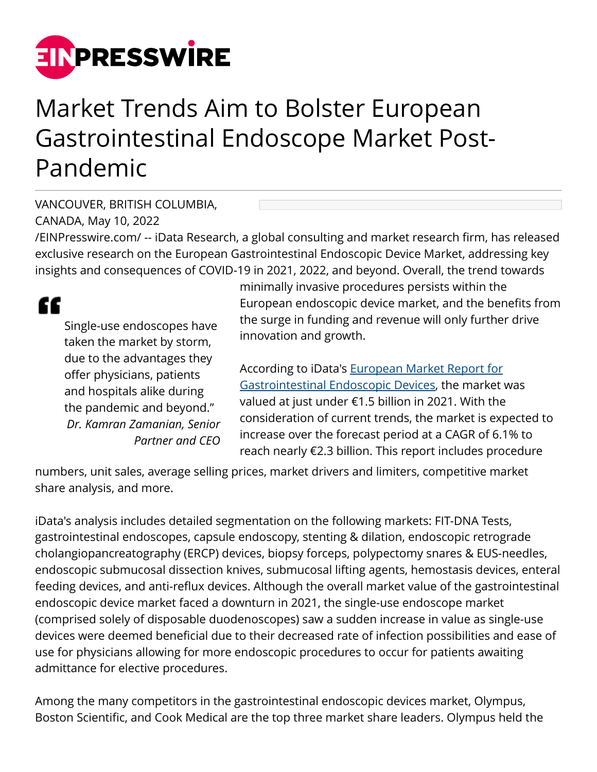

## Market Trends Aim to Bolster European Gastrointestinal Endoscope Market Post-Pandemic

VANCOUVER, BRITISH COLUMBIA, CANADA, May 10, 2022

[/EINPresswire.com/](http://www.einpresswire.com) -- iData Research, a global consulting and market research firm, has released exclusive research on the European Gastrointestinal Endoscopic Device Market, addressing key insights and consequences of COVID-19 in 2021, 2022, and beyond. Overall, the trend towards

££

Single-use endoscopes have taken the market by storm, due to the advantages they offer physicians, patients and hospitals alike during the pandemic and beyond." *Dr. Kamran Zamanian, Senior Partner and CEO* minimally invasive procedures persists within the European endoscopic device market, and the benefits from the surge in funding and revenue will only further drive innovation and growth.

According to iData's [European Market Report for](https://idataresearch.com/product/gastrointestinal-endoscopic-devices-market-europe/) [Gastrointestinal Endoscopic Devices,](https://idataresearch.com/product/gastrointestinal-endoscopic-devices-market-europe/) the market was valued at just under €1.5 billion in 2021. With the consideration of current trends, the market is expected to increase over the forecast period at a CAGR of 6.1% to reach nearly €2.3 billion. This report includes procedure

numbers, unit sales, average selling prices, market drivers and limiters, competitive market share analysis, and more.

iData's analysis includes detailed segmentation on the following markets: FIT-DNA Tests, gastrointestinal endoscopes, capsule endoscopy, stenting & dilation, endoscopic retrograde cholangiopancreatography (ERCP) devices, biopsy forceps, polypectomy snares & EUS-needles, endoscopic submucosal dissection knives, submucosal lifting agents, hemostasis devices, enteral feeding devices, and anti-reflux devices. Although the overall market value of the gastrointestinal endoscopic device market faced a downturn in 2021, the single-use endoscope market (comprised solely of disposable duodenoscopes) saw a sudden increase in value as single-use devices were deemed beneficial due to their decreased rate of infection possibilities and ease of use for physicians allowing for more endoscopic procedures to occur for patients awaiting admittance for elective procedures.

Among the many competitors in the gastrointestinal endoscopic devices market, Olympus, Boston Scientific, and Cook Medical are the top three market share leaders. Olympus held the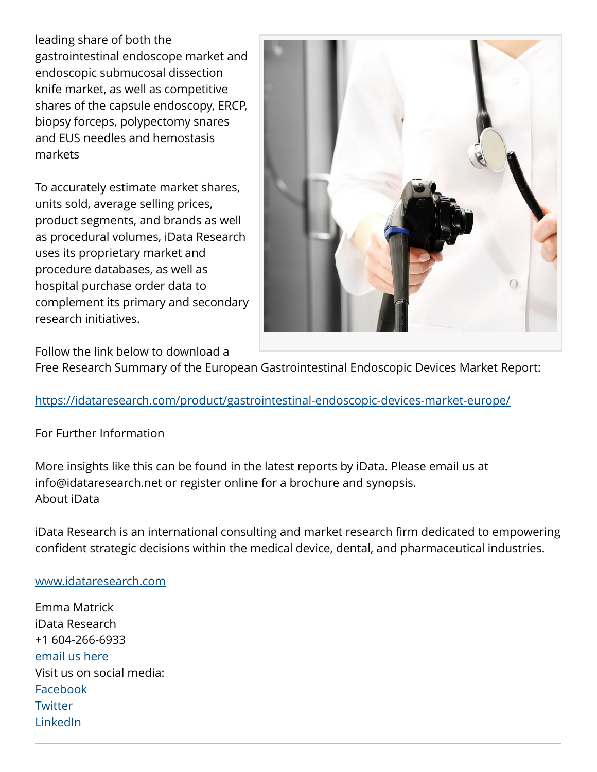leading share of both the gastrointestinal endoscope market and endoscopic submucosal dissection knife market, as well as competitive shares of the capsule endoscopy, ERCP, biopsy forceps, polypectomy snares and EUS needles and hemostasis markets

To accurately estimate market shares, units sold, average selling prices, product segments, and brands as well as procedural volumes, iData Research uses its proprietary market and procedure databases, as well as hospital purchase order data to complement its primary and secondary research initiatives.



Follow the link below to download a

Free Research Summary of the European Gastrointestinal Endoscopic Devices Market Report:

## <https://idataresearch.com/product/gastrointestinal-endoscopic-devices-market-europe/>

## For Further Information

More insights like this can be found in the latest reports by iData. Please email us at info@idataresearch.net or register online for a brochure and synopsis. About iData

iData Research is an international consulting and market research firm dedicated to empowering confident strategic decisions within the medical device, dental, and pharmaceutical industries.

## [www.idataresearch.com](http://www.idataresearch.com)

Emma Matrick iData Research +1 604-266-6933 [email us here](http://www.einpresswire.com/contact_author/3480169) Visit us on social media: [Facebook](https://www.facebook.com/iDataResearch/) **[Twitter](https://twitter.com/iDataResearch?s=20)** [LinkedIn](https://www.linkedin.com/company/idata-research)